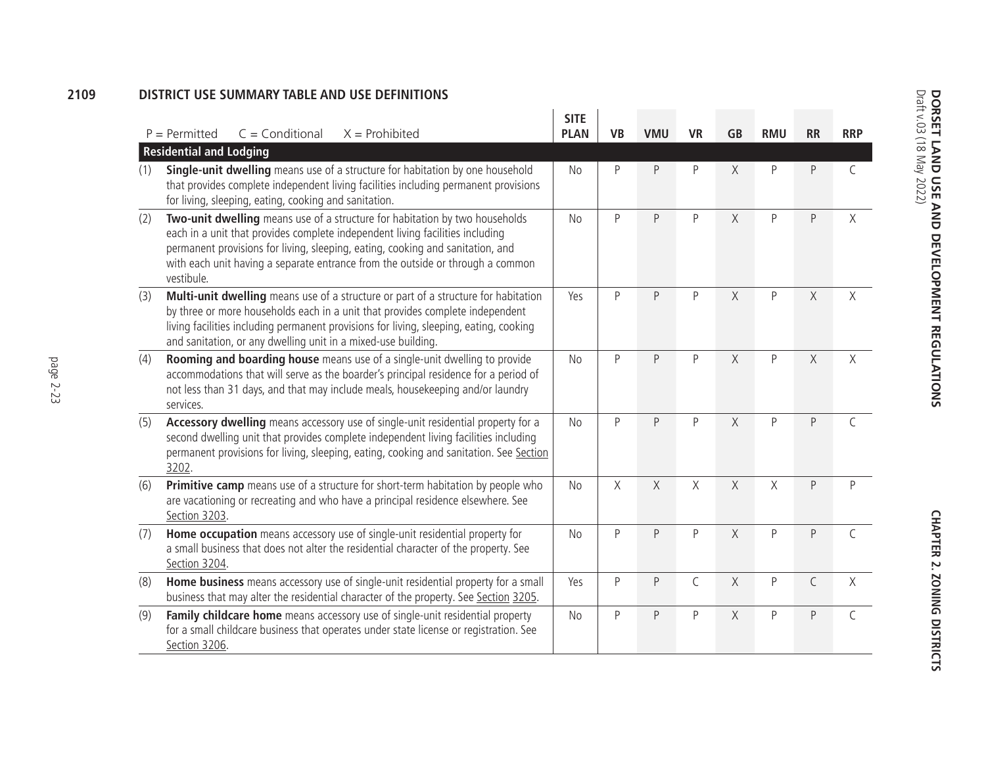## **2109DISTRICT USE SUMMARY TABLE AND USE DEFINITIONS**

|     | $C =$ Conditional<br>$X =$ Prohibited<br>$P = Permitted$                                                                                                                                                                                                                                                                                       | <b>SITE</b><br><b>PLAN</b> | <b>VB</b> | <b>VMU</b> | <b>VR</b> | <b>GB</b> | <b>RMU</b> | <b>RR</b>    | <b>RRP</b> |
|-----|------------------------------------------------------------------------------------------------------------------------------------------------------------------------------------------------------------------------------------------------------------------------------------------------------------------------------------------------|----------------------------|-----------|------------|-----------|-----------|------------|--------------|------------|
|     | <b>Residential and Lodging</b>                                                                                                                                                                                                                                                                                                                 |                            |           |            |           |           |            |              |            |
| (1) | Single-unit dwelling means use of a structure for habitation by one household<br>that provides complete independent living facilities including permanent provisions<br>for living, sleeping, eating, cooking and sanitation.                                                                                                                  | No                         | P         | P          | P         | $\chi$    | P          | P            | C          |
| (2) | Two-unit dwelling means use of a structure for habitation by two households<br>each in a unit that provides complete independent living facilities including<br>permanent provisions for living, sleeping, eating, cooking and sanitation, and<br>with each unit having a separate entrance from the outside or through a common<br>vestibule. | <b>No</b>                  | P         | P          | P         | X         | P          | P            | $\times$   |
| (3) | Multi-unit dwelling means use of a structure or part of a structure for habitation<br>by three or more households each in a unit that provides complete independent<br>living facilities including permanent provisions for living, sleeping, eating, cooking<br>and sanitation, or any dwelling unit in a mixed-use building.                 | Yes                        | P         | P          | P         | $\times$  | P          | $\times$     | Χ          |
| (4) | Rooming and boarding house means use of a single-unit dwelling to provide<br>accommodations that will serve as the boarder's principal residence for a period of<br>not less than 31 days, and that may include meals, housekeeping and/or laundry<br>services.                                                                                | <b>No</b>                  | P         | P          | P         | $\times$  | P          | $\times$     | $\times$   |
| (5) | Accessory dwelling means accessory use of single-unit residential property for a<br>second dwelling unit that provides complete independent living facilities including<br>permanent provisions for living, sleeping, eating, cooking and sanitation. See Section<br>3202.                                                                     | <b>No</b>                  | P         | P          | P         | $\chi$    | P          | P            | $\subset$  |
| (6) | Primitive camp means use of a structure for short-term habitation by people who<br>are vacationing or recreating and who have a principal residence elsewhere. See<br>Section 3203.                                                                                                                                                            | <b>No</b>                  | X         | X          | $\chi$    | $\times$  | $\times$   | P            | P          |
| (7) | Home occupation means accessory use of single-unit residential property for<br>a small business that does not alter the residential character of the property. See<br>Section 3204.                                                                                                                                                            | <b>No</b>                  | P         | P          | P         | X         | P          | P            | C          |
| (8) | Home business means accessory use of single-unit residential property for a small<br>business that may alter the residential character of the property. See Section 3205.                                                                                                                                                                      | Yes                        | P         | P          | C         | $\times$  | P          | $\mathsf{C}$ | $\times$   |
| (9) | Family childcare home means accessory use of single-unit residential property<br>for a small childcare business that operates under state license or registration. See<br>Section 3206.                                                                                                                                                        | <b>No</b>                  | P         | P          | P         | X         | P          | P            | C          |

**Chap rER 2. ZONING DISTRI** 

**s**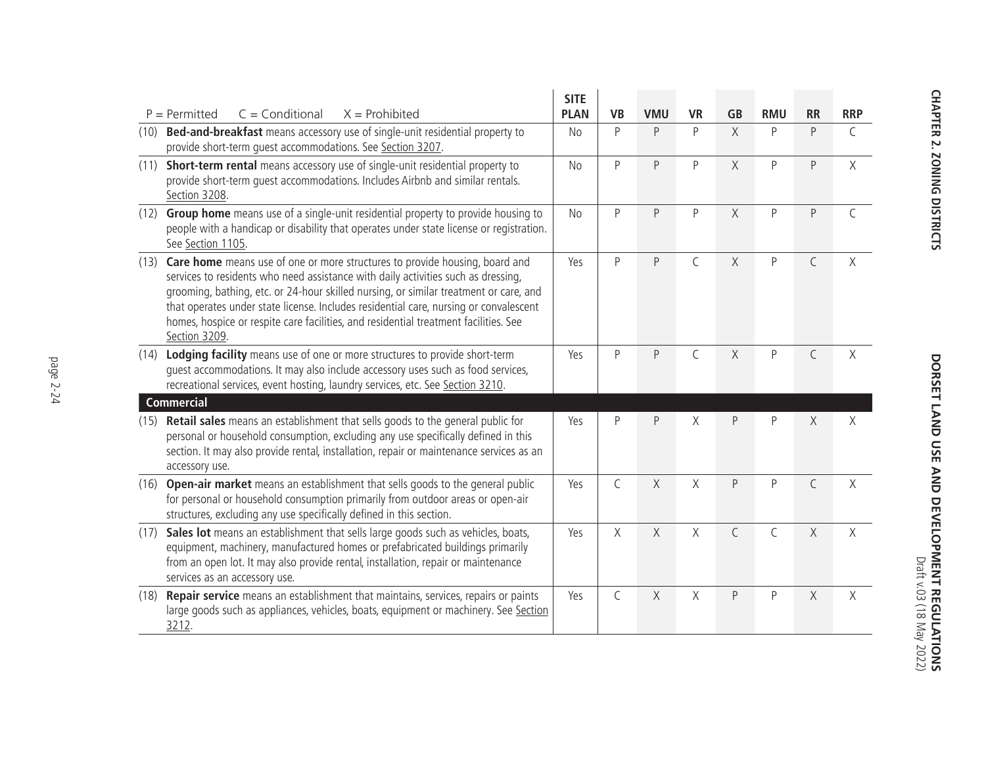|      |                                                                                                                                                                                                                                                                                                                                                                                                                                                             | <b>SITE</b>    |              |            |              |              |            |              |             |
|------|-------------------------------------------------------------------------------------------------------------------------------------------------------------------------------------------------------------------------------------------------------------------------------------------------------------------------------------------------------------------------------------------------------------------------------------------------------------|----------------|--------------|------------|--------------|--------------|------------|--------------|-------------|
|      | $P = Permitted$<br>$C =$ Conditional<br>$X =$ Prohibited                                                                                                                                                                                                                                                                                                                                                                                                    | <b>PLAN</b>    | <b>VB</b>    | <b>VMU</b> | <b>VR</b>    | <b>GB</b>    | <b>RMU</b> | <b>RR</b>    | <b>RRP</b>  |
| (10) | Bed-and-breakfast means accessory use of single-unit residential property to<br>provide short-term quest accommodations. See Section 3207.                                                                                                                                                                                                                                                                                                                  | N <sub>o</sub> | P            | P          | P            | $\chi$       | P          | $\sf P$      | C           |
| (11) | Short-term rental means accessory use of single-unit residential property to<br>provide short-term quest accommodations. Includes Airbnb and similar rentals.<br>Section 3208.                                                                                                                                                                                                                                                                              | N <sub>o</sub> | P            | $\sf P$    | $\mathsf{P}$ | $\chi$       | P          | $\sf P$      | $\mathsf X$ |
| (12) | Group home means use of a single-unit residential property to provide housing to<br>people with a handicap or disability that operates under state license or registration.<br>See Section 1105.                                                                                                                                                                                                                                                            | <b>No</b>      | P            | $\sf P$    | P            | $\chi$       | P          | $\mathsf{P}$ | $\mathsf C$ |
| (13) | Care home means use of one or more structures to provide housing, board and<br>services to residents who need assistance with daily activities such as dressing,<br>grooming, bathing, etc. or 24-hour skilled nursing, or similar treatment or care, and<br>that operates under state license. Includes residential care, nursing or convalescent<br>homes, hospice or respite care facilities, and residential treatment facilities. See<br>Section 3209. | Yes            | P            | $\sf P$    | $\mathsf C$  | $\chi$       | P          | $\mathsf C$  | $\chi$      |
| (14) | Lodging facility means use of one or more structures to provide short-term<br>quest accommodations. It may also include accessory uses such as food services,<br>recreational services, event hosting, laundry services, etc. See Section 3210.                                                                                                                                                                                                             | Yes            | $\mathsf{P}$ | $\sf P$    | C            | $\chi$       | P          | $\mathsf C$  | Χ           |
|      | <b>Commercial</b>                                                                                                                                                                                                                                                                                                                                                                                                                                           |                |              |            |              |              |            |              |             |
| (15) | Retail sales means an establishment that sells goods to the general public for<br>personal or household consumption, excluding any use specifically defined in this<br>section. It may also provide rental, installation, repair or maintenance services as an<br>accessory use.                                                                                                                                                                            | Yes            | P            | $\sf P$    | X            | P            | P          | X            | Χ           |
| (16) | Open-air market means an establishment that sells goods to the general public<br>for personal or household consumption primarily from outdoor areas or open-air<br>structures, excluding any use specifically defined in this section.                                                                                                                                                                                                                      | Yes            | $\mathsf{C}$ | $\chi$     | $\chi$       | $\mathsf{P}$ | P          | $\mathsf C$  | $\chi$      |
| (17) | Sales lot means an establishment that sells large goods such as vehicles, boats,<br>equipment, machinery, manufactured homes or prefabricated buildings primarily<br>from an open lot. It may also provide rental, installation, repair or maintenance<br>services as an accessory use.                                                                                                                                                                     | Yes            | X            | X          | X            | C            | C          | X            | $\chi$      |
| (18) | Repair service means an establishment that maintains, services, repairs or paints<br>large goods such as appliances, vehicles, boats, equipment or machinery. See Section<br>3212.                                                                                                                                                                                                                                                                          | Yes            | $\mathsf C$  | $\chi$     | $\chi$       | $\mathsf{P}$ | $\sf P$    | $\chi$       | $\chi$      |

**DORSET LAND USE AND DEVELOPMENT REGULATIONS**<br>DORSET LAND USE AND DEVELOPMENT REGULATIONS **DORSET LAND USE AND DEVELOPMENT REGULATIONS** Draft v.03 (18 May 2022)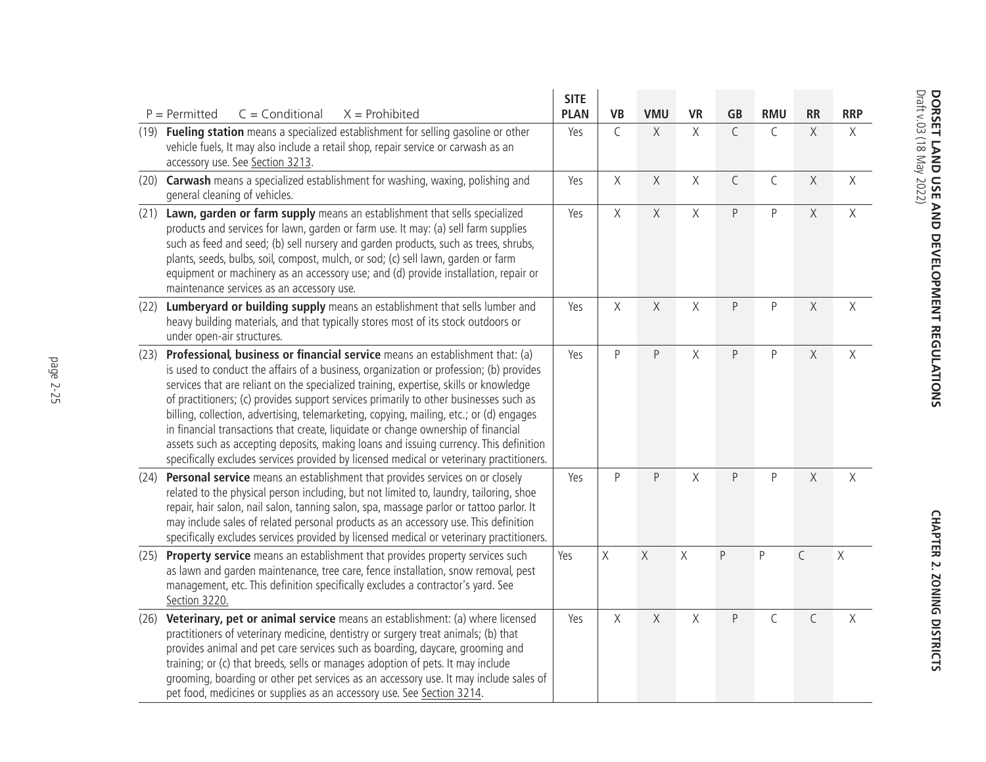|      | $C = Conditional$<br>$P = Permitted$<br>$X =$ Prohibited                                                                                                                                                                                                                                                                                                                                                                                                                                                                                                                                                                                                                                                                      | <b>SITE</b><br><b>PLAN</b> | <b>VB</b>   | <b>VMU</b> | <b>VR</b>          | <b>GB</b>    | <b>RMU</b>  | <b>RR</b>    | <b>RRP</b> |
|------|-------------------------------------------------------------------------------------------------------------------------------------------------------------------------------------------------------------------------------------------------------------------------------------------------------------------------------------------------------------------------------------------------------------------------------------------------------------------------------------------------------------------------------------------------------------------------------------------------------------------------------------------------------------------------------------------------------------------------------|----------------------------|-------------|------------|--------------------|--------------|-------------|--------------|------------|
|      | (19) Fueling station means a specialized establishment for selling gasoline or other<br>vehicle fuels, It may also include a retail shop, repair service or carwash as an<br>accessory use. See Section 3213.                                                                                                                                                                                                                                                                                                                                                                                                                                                                                                                 | Yes                        | $\mathsf C$ | $\chi$     | X                  | $\mathsf{C}$ | $\mathsf C$ | $\mathsf X$  | $\times$   |
|      | (20) Carwash means a specialized establishment for washing, waxing, polishing and<br>general cleaning of vehicles.                                                                                                                                                                                                                                                                                                                                                                                                                                                                                                                                                                                                            | Yes                        | $\chi$      | $\chi$     | $\mathsf X$        | $\mathsf{C}$ | $\mathsf C$ | $\mathsf X$  | $\chi$     |
|      | (21) Lawn, garden or farm supply means an establishment that sells specialized<br>products and services for lawn, garden or farm use. It may: (a) sell farm supplies<br>such as feed and seed; (b) sell nursery and garden products, such as trees, shrubs,<br>plants, seeds, bulbs, soil, compost, mulch, or sod; (c) sell lawn, garden or farm<br>equipment or machinery as an accessory use; and (d) provide installation, repair or<br>maintenance services as an accessory use.                                                                                                                                                                                                                                          | Yes                        | X           | $\chi$     | $\chi$             | P            | $\sf P$     | $\mathsf X$  | $\chi$     |
| (22) | Lumberyard or building supply means an establishment that sells lumber and<br>heavy building materials, and that typically stores most of its stock outdoors or<br>under open-air structures.                                                                                                                                                                                                                                                                                                                                                                                                                                                                                                                                 | Yes                        | $\mathsf X$ | $\chi$     | Χ                  | P            | $\sf P$     | $\mathsf X$  | X          |
| (23) | Professional, business or financial service means an establishment that: (a)<br>is used to conduct the affairs of a business, organization or profession; (b) provides<br>services that are reliant on the specialized training, expertise, skills or knowledge<br>of practitioners; (c) provides support services primarily to other businesses such as<br>billing, collection, advertising, telemarketing, copying, mailing, etc.; or (d) engages<br>in financial transactions that create, liquidate or change ownership of financial<br>assets such as accepting deposits, making loans and issuing currency. This definition<br>specifically excludes services provided by licensed medical or veterinary practitioners. | Yes                        | $\sf P$     | $\sf P$    | $\mathsf{X}% _{0}$ | P            | $\sf P$     | $\mathsf X$  | $\chi$     |
|      | (24) Personal service means an establishment that provides services on or closely<br>related to the physical person including, but not limited to, laundry, tailoring, shoe<br>repair, hair salon, nail salon, tanning salon, spa, massage parlor or tattoo parlor. It<br>may include sales of related personal products as an accessory use. This definition<br>specifically excludes services provided by licensed medical or veterinary practitioners.                                                                                                                                                                                                                                                                     | Yes                        | $\sf P$     | $\sf P$    | Χ                  | P            | P           | $\mathsf X$  | X          |
| (25) | Property service means an establishment that provides property services such<br>as lawn and garden maintenance, tree care, fence installation, snow removal, pest<br>management, etc. This definition specifically excludes a contractor's yard. See<br>Section 3220.                                                                                                                                                                                                                                                                                                                                                                                                                                                         | Yes                        | $\chi$      | $\chi$     | $\chi$             | P            | P           | $\mathsf{C}$ | $\chi$     |
| (26) | Veterinary, pet or animal service means an establishment: (a) where licensed<br>practitioners of veterinary medicine, dentistry or surgery treat animals; (b) that<br>provides animal and pet care services such as boarding, daycare, grooming and<br>training; or (c) that breeds, sells or manages adoption of pets. It may include<br>grooming, boarding or other pet services as an accessory use. It may include sales of<br>pet food, medicines or supplies as an accessory use. See Section 3214.                                                                                                                                                                                                                     | Yes                        | X           | $\chi$     | Χ                  | P            | $\mathsf C$ | $\mathsf C$  | X          |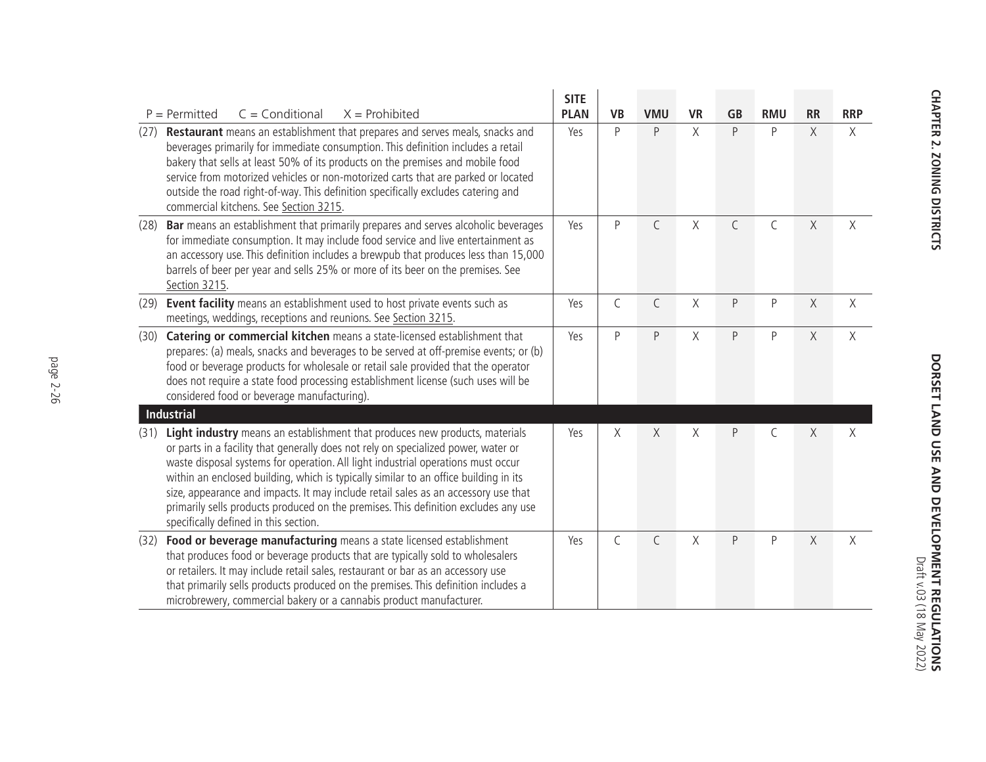| $C = Conditional$<br>$X =$ Prohibited<br>$P = Permitted$                                                                                                                                                                                                                                                                                                                                                                                                                                                                                                                    | <b>SITE</b><br><b>PLAN</b> | <b>VB</b>    | <b>VMU</b>   | <b>VR</b> | <b>GB</b> | <b>RMU</b> | <b>RR</b>   | <b>RRP</b> |
|-----------------------------------------------------------------------------------------------------------------------------------------------------------------------------------------------------------------------------------------------------------------------------------------------------------------------------------------------------------------------------------------------------------------------------------------------------------------------------------------------------------------------------------------------------------------------------|----------------------------|--------------|--------------|-----------|-----------|------------|-------------|------------|
| Restaurant means an establishment that prepares and serves meals, snacks and<br>(27)<br>beverages primarily for immediate consumption. This definition includes a retail<br>bakery that sells at least 50% of its products on the premises and mobile food<br>service from motorized vehicles or non-motorized carts that are parked or located<br>outside the road right-of-way. This definition specifically excludes catering and<br>commercial kitchens. See Section 3215.                                                                                              | Yes                        | P            | P            | X         | $\sf P$   | P          | $\chi$      | X          |
| Bar means an establishment that primarily prepares and serves alcoholic beverages<br>(28)<br>for immediate consumption. It may include food service and live entertainment as<br>an accessory use. This definition includes a brewpub that produces less than 15,000<br>barrels of beer per year and sells 25% or more of its beer on the premises. See<br>Section 3215.                                                                                                                                                                                                    | Yes                        | P            | $\mathsf C$  | Χ         | C         | C          | $\chi$      | X          |
| Event facility means an establishment used to host private events such as<br>(29)<br>meetings, weddings, receptions and reunions. See Section 3215.                                                                                                                                                                                                                                                                                                                                                                                                                         | Yes                        | $\mathsf C$  | $\mathsf C$  | X         | $\sf P$   | P          | $\chi$      | $\chi$     |
| Catering or commercial kitchen means a state-licensed establishment that<br>(30)<br>prepares: (a) meals, snacks and beverages to be served at off-premise events; or (b)<br>food or beverage products for wholesale or retail sale provided that the operator<br>does not require a state food processing establishment license (such uses will be<br>considered food or beverage manufacturing).                                                                                                                                                                           | Yes                        | $\mathsf{P}$ | $\sf P$      | Χ         | $\sf P$   | P          | $\chi$      | X          |
| <b>Industrial</b>                                                                                                                                                                                                                                                                                                                                                                                                                                                                                                                                                           |                            |              |              |           |           |            |             |            |
| Light industry means an establishment that produces new products, materials<br>(31)<br>or parts in a facility that generally does not rely on specialized power, water or<br>waste disposal systems for operation. All light industrial operations must occur<br>within an enclosed building, which is typically similar to an office building in its<br>size, appearance and impacts. It may include retail sales as an accessory use that<br>primarily sells products produced on the premises. This definition excludes any use<br>specifically defined in this section. | Yes                        | X            | X            | Χ         | P         | C          | $\mathsf X$ | Χ          |
| Food or beverage manufacturing means a state licensed establishment<br>(32)<br>that produces food or beverage products that are typically sold to wholesalers<br>or retailers. It may include retail sales, restaurant or bar as an accessory use<br>that primarily sells products produced on the premises. This definition includes a<br>microbrewery, commercial bakery or a cannabis product manufacturer.                                                                                                                                                              | Yes                        | $\mathsf{C}$ | $\mathsf{C}$ | X         | $\sf P$   | $\sf P$    | $\chi$      | X          |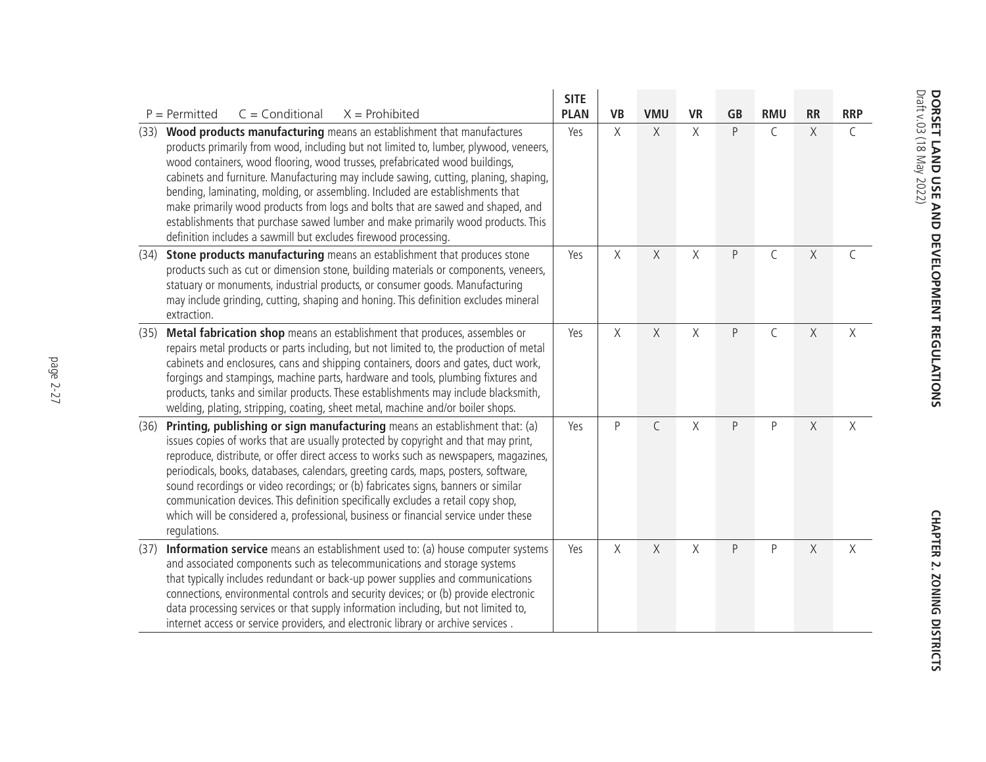|      |                                                                                                                                                                                                                                                                                                                                                                                                                                                                                                                                                                                                                                                                 | <b>SITE</b> |           |             |                    |           |             |             |               |
|------|-----------------------------------------------------------------------------------------------------------------------------------------------------------------------------------------------------------------------------------------------------------------------------------------------------------------------------------------------------------------------------------------------------------------------------------------------------------------------------------------------------------------------------------------------------------------------------------------------------------------------------------------------------------------|-------------|-----------|-------------|--------------------|-----------|-------------|-------------|---------------|
|      | $P = Permitted$<br>$C = Conditional$<br>$X =$ Prohibited                                                                                                                                                                                                                                                                                                                                                                                                                                                                                                                                                                                                        | <b>PLAN</b> | <b>VB</b> | <b>VMU</b>  | <b>VR</b>          | <b>GB</b> | <b>RMU</b>  | <b>RR</b>   | <b>RRP</b>    |
| (33) | Wood products manufacturing means an establishment that manufactures<br>products primarily from wood, including but not limited to, lumber, plywood, veneers,<br>wood containers, wood flooring, wood trusses, prefabricated wood buildings,<br>cabinets and furniture. Manufacturing may include sawing, cutting, planing, shaping,<br>bending, laminating, molding, or assembling. Included are establishments that<br>make primarily wood products from logs and bolts that are sawed and shaped, and<br>establishments that purchase sawed lumber and make primarily wood products. This<br>definition includes a sawmill but excludes firewood processing. | Yes         | X         | $\chi$      | $\mathsf{X}% _{0}$ | P         | $\mathsf C$ | $\mathsf X$ | $\mathsf C$   |
| (34) | Stone products manufacturing means an establishment that produces stone<br>products such as cut or dimension stone, building materials or components, veneers,<br>statuary or monuments, industrial products, or consumer goods. Manufacturing<br>may include grinding, cutting, shaping and honing. This definition excludes mineral<br>extraction.                                                                                                                                                                                                                                                                                                            | Yes         | $\chi$    | $\chi$      | $\chi$             | P         | $\mathsf C$ | $\mathsf X$ | $\mathcal{C}$ |
| (35) | Metal fabrication shop means an establishment that produces, assembles or<br>repairs metal products or parts including, but not limited to, the production of metal<br>cabinets and enclosures, cans and shipping containers, doors and gates, duct work,<br>forgings and stampings, machine parts, hardware and tools, plumbing fixtures and<br>products, tanks and similar products. These establishments may include blacksmith,<br>welding, plating, stripping, coating, sheet metal, machine and/or boiler shops.                                                                                                                                          | Yes         | X         | X           | Χ                  | P         | $\mathsf C$ | $\chi$      | X             |
| (36) | Printing, publishing or sign manufacturing means an establishment that: (a)<br>issues copies of works that are usually protected by copyright and that may print,<br>reproduce, distribute, or offer direct access to works such as newspapers, magazines,<br>periodicals, books, databases, calendars, greeting cards, maps, posters, software,<br>sound recordings or video recordings; or (b) fabricates signs, banners or similar<br>communication devices. This definition specifically excludes a retail copy shop,<br>which will be considered a, professional, business or financial service under these<br>regulations.                                | Yes         | $\sf P$   | $\mathsf C$ | Χ                  | P         | $\sf P$     | $\mathsf X$ | X             |
| (37) | Information service means an establishment used to: (a) house computer systems<br>and associated components such as telecommunications and storage systems<br>that typically includes redundant or back-up power supplies and communications<br>connections, environmental controls and security devices; or (b) provide electronic<br>data processing services or that supply information including, but not limited to,<br>internet access or service providers, and electronic library or archive services.                                                                                                                                                  | Yes         | X         | X           | Χ                  | P         | P           | $\mathsf X$ | $\chi$        |

CHAPTER 2. ZONING DISTRICTS **Chapter 2. Zoning Districts**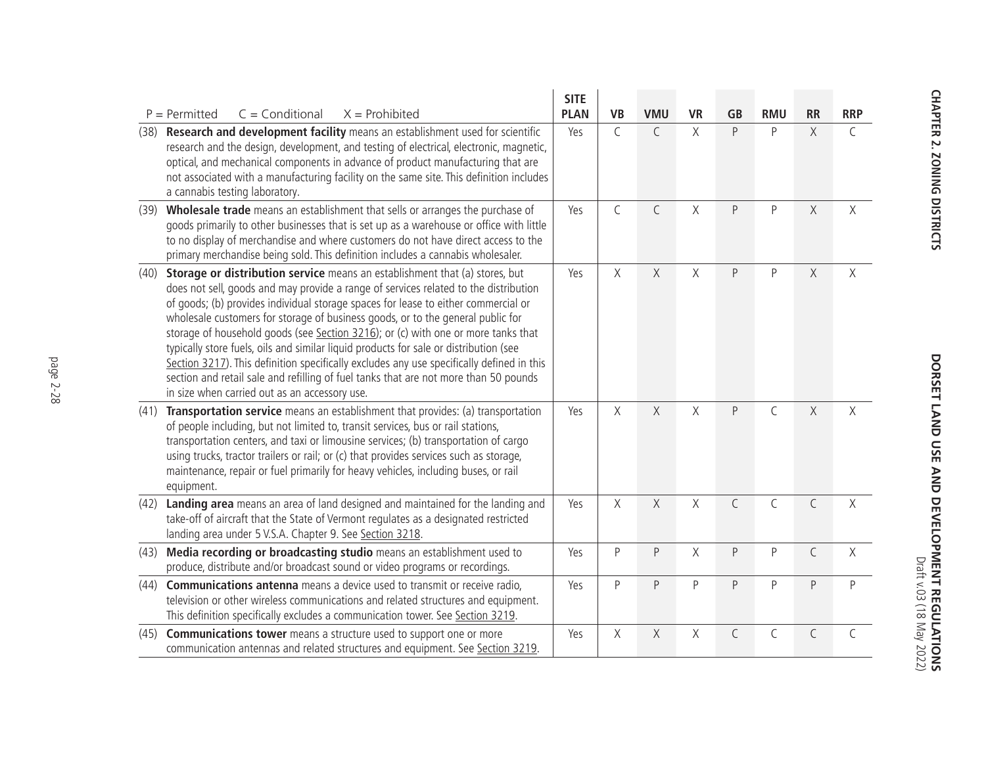|      |                                                                                                                                                                                                                                                                                                                                                                                                                                                                                                                                                                                                                                                                                                                                                                  | <b>SITE</b> |             |              |           |              |              |             |              |
|------|------------------------------------------------------------------------------------------------------------------------------------------------------------------------------------------------------------------------------------------------------------------------------------------------------------------------------------------------------------------------------------------------------------------------------------------------------------------------------------------------------------------------------------------------------------------------------------------------------------------------------------------------------------------------------------------------------------------------------------------------------------------|-------------|-------------|--------------|-----------|--------------|--------------|-------------|--------------|
|      | $C = Conditional$<br>$X =$ Prohibited<br>$P = Permitted$                                                                                                                                                                                                                                                                                                                                                                                                                                                                                                                                                                                                                                                                                                         | <b>PLAN</b> | <b>VB</b>   | <b>VMU</b>   | <b>VR</b> | <b>GB</b>    | <b>RMU</b>   | <b>RR</b>   | <b>RRP</b>   |
| (38) | Research and development facility means an establishment used for scientific<br>research and the design, development, and testing of electrical, electronic, magnetic,<br>optical, and mechanical components in advance of product manufacturing that are<br>not associated with a manufacturing facility on the same site. This definition includes<br>a cannabis testing laboratory.                                                                                                                                                                                                                                                                                                                                                                           | Yes         | $\mathsf C$ | $\mathsf{C}$ | X         | P            | P            | $\chi$      | $\mathsf{C}$ |
| (39) | Wholesale trade means an establishment that sells or arranges the purchase of<br>goods primarily to other businesses that is set up as a warehouse or office with little<br>to no display of merchandise and where customers do not have direct access to the<br>primary merchandise being sold. This definition includes a cannabis wholesaler.                                                                                                                                                                                                                                                                                                                                                                                                                 | Yes         | $\mathsf C$ | $\mathsf C$  | X         | P            | $\mathsf{P}$ | $\mathsf X$ | X            |
| (40) | Storage or distribution service means an establishment that (a) stores, but<br>does not sell, goods and may provide a range of services related to the distribution<br>of goods; (b) provides individual storage spaces for lease to either commercial or<br>wholesale customers for storage of business goods, or to the general public for<br>storage of household goods (see Section 3216); or (c) with one or more tanks that<br>typically store fuels, oils and similar liquid products for sale or distribution (see<br>Section 3217). This definition specifically excludes any use specifically defined in this<br>section and retail sale and refilling of fuel tanks that are not more than 50 pounds<br>in size when carried out as an accessory use. | Yes         | $\chi$      | $\chi$       | X         | P            | P            | $\chi$      | $\chi$       |
| (41) | Transportation service means an establishment that provides: (a) transportation<br>of people including, but not limited to, transit services, bus or rail stations,<br>transportation centers, and taxi or limousine services; (b) transportation of cargo<br>using trucks, tractor trailers or rail; or (c) that provides services such as storage,<br>maintenance, repair or fuel primarily for heavy vehicles, including buses, or rail<br>equipment.                                                                                                                                                                                                                                                                                                         | Yes         | X           | $\chi$       | X         | P            | $\mathsf C$  | X           | $\chi$       |
| (42) | Landing area means an area of land designed and maintained for the landing and<br>take-off of aircraft that the State of Vermont regulates as a designated restricted<br>landing area under 5 V.S.A. Chapter 9. See Section 3218.                                                                                                                                                                                                                                                                                                                                                                                                                                                                                                                                | Yes         | $\chi$      | $\chi$       | X         | $\mathsf{C}$ | $\mathsf C$  | $\mathsf C$ | X            |
| (43) | Media recording or broadcasting studio means an establishment used to<br>produce, distribute and/or broadcast sound or video programs or recordings.                                                                                                                                                                                                                                                                                                                                                                                                                                                                                                                                                                                                             | Yes         | $\sf P$     | $\sf P$      | X         | P            | P            | $\mathsf C$ | $\chi$       |
| (44) | <b>Communications antenna</b> means a device used to transmit or receive radio,<br>television or other wireless communications and related structures and equipment.<br>This definition specifically excludes a communication tower. See Section 3219.                                                                                                                                                                                                                                                                                                                                                                                                                                                                                                           | Yes         | $\sf P$     | $\sf P$      | P         | $\sf P$      | $\sf P$      | P           | $\mathsf{P}$ |
| (45) | <b>Communications tower</b> means a structure used to support one or more<br>communication antennas and related structures and equipment. See Section 3219.                                                                                                                                                                                                                                                                                                                                                                                                                                                                                                                                                                                                      | Yes         | $\times$    | $\chi$       | Χ         | $\mathsf C$  | $\mathsf C$  | $\mathsf C$ | $\mathsf C$  |

**DORSET LAND USE AND DEVELOPMENT REGULATIONS**<br>DORSET LAND USE AND DEVELOPMENT REGULATIONS **DORSET LAND USE AND DEVELOPMENT REGULATIONS** Draft v.03 (18 May 2022)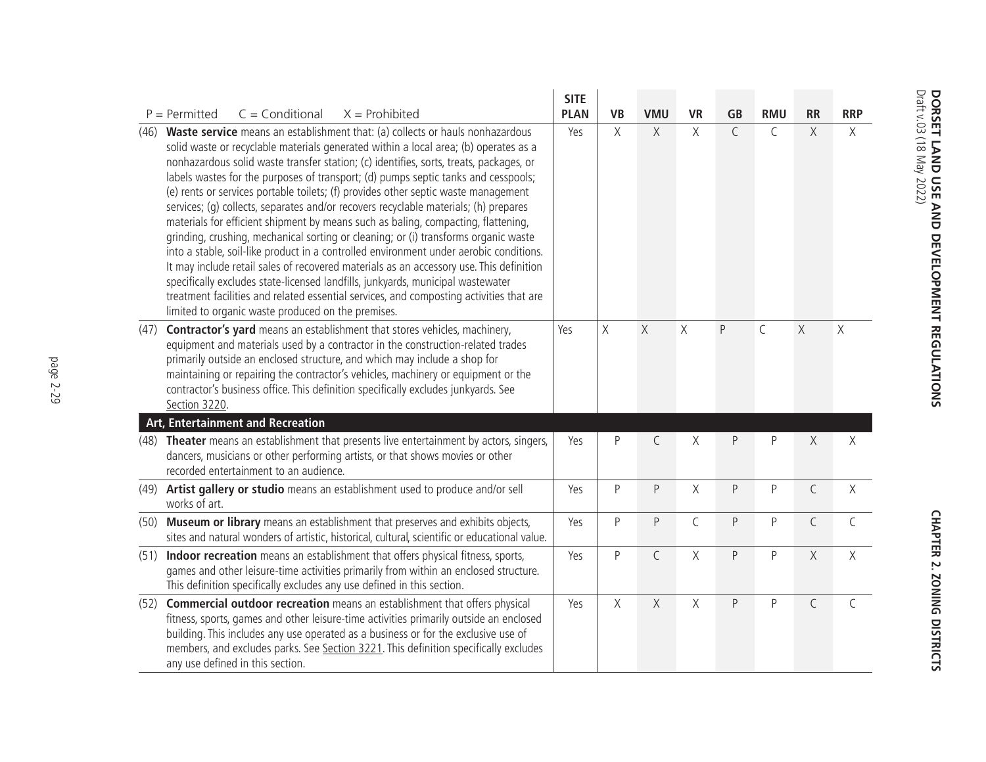|      |                                                                                                                                                                                                                                                                                                                                                                                                                                                                                                                                                                                                                                                                                                                                                                                                                                                                                                                                                                                                                                                                                                                                          | <b>SITE</b> |           |                |             |             |              |              |              |
|------|------------------------------------------------------------------------------------------------------------------------------------------------------------------------------------------------------------------------------------------------------------------------------------------------------------------------------------------------------------------------------------------------------------------------------------------------------------------------------------------------------------------------------------------------------------------------------------------------------------------------------------------------------------------------------------------------------------------------------------------------------------------------------------------------------------------------------------------------------------------------------------------------------------------------------------------------------------------------------------------------------------------------------------------------------------------------------------------------------------------------------------------|-------------|-----------|----------------|-------------|-------------|--------------|--------------|--------------|
|      | $P = Permitted$<br>$C = Conditional$<br>$X =$ Prohibited                                                                                                                                                                                                                                                                                                                                                                                                                                                                                                                                                                                                                                                                                                                                                                                                                                                                                                                                                                                                                                                                                 | <b>PLAN</b> | <b>VB</b> | <b>VMU</b>     | <b>VR</b>   | <b>GB</b>   | <b>RMU</b>   | <b>RR</b>    | <b>RRP</b>   |
| (46) | Waste service means an establishment that: (a) collects or hauls nonhazardous<br>solid waste or recyclable materials generated within a local area; (b) operates as a<br>nonhazardous solid waste transfer station; (c) identifies, sorts, treats, packages, or<br>labels wastes for the purposes of transport; (d) pumps septic tanks and cesspools;<br>(e) rents or services portable toilets; (f) provides other septic waste management<br>services; (q) collects, separates and/or recovers recyclable materials; (h) prepares<br>materials for efficient shipment by means such as baling, compacting, flattening,<br>grinding, crushing, mechanical sorting or cleaning; or (i) transforms organic waste<br>into a stable, soil-like product in a controlled environment under aerobic conditions.<br>It may include retail sales of recovered materials as an accessory use. This definition<br>specifically excludes state-licensed landfills, junkyards, municipal wastewater<br>treatment facilities and related essential services, and composting activities that are<br>limited to organic waste produced on the premises. | Yes         | X         | $\chi$         | $\chi$      | $\mathsf C$ | $\mathsf{C}$ | X            | $\times$     |
| (47) | Contractor's yard means an establishment that stores vehicles, machinery,<br>equipment and materials used by a contractor in the construction-related trades<br>primarily outside an enclosed structure, and which may include a shop for<br>maintaining or repairing the contractor's vehicles, machinery or equipment or the<br>contractor's business office. This definition specifically excludes junkyards. See<br>Section 3220.                                                                                                                                                                                                                                                                                                                                                                                                                                                                                                                                                                                                                                                                                                    | Yes         | $\chi$    | $\overline{X}$ | $\times$    | P           | $\mathsf C$  | $\times$     | $\chi$       |
|      | Art, Entertainment and Recreation                                                                                                                                                                                                                                                                                                                                                                                                                                                                                                                                                                                                                                                                                                                                                                                                                                                                                                                                                                                                                                                                                                        |             |           |                |             |             |              |              |              |
| (48) | Theater means an establishment that presents live entertainment by actors, singers,<br>dancers, musicians or other performing artists, or that shows movies or other<br>recorded entertainment to an audience.                                                                                                                                                                                                                                                                                                                                                                                                                                                                                                                                                                                                                                                                                                                                                                                                                                                                                                                           | Yes         | $\sf P$   | $\mathsf{C}$   | X           | P           | P            | X            | $\times$     |
|      | (49) Artist gallery or studio means an establishment used to produce and/or sell<br>works of art.                                                                                                                                                                                                                                                                                                                                                                                                                                                                                                                                                                                                                                                                                                                                                                                                                                                                                                                                                                                                                                        | Yes         | $\sf P$   | P              | X           | P           | P            | $\mathsf C$  | $\times$     |
|      | (50) Museum or library means an establishment that preserves and exhibits objects,<br>sites and natural wonders of artistic, historical, cultural, scientific or educational value.                                                                                                                                                                                                                                                                                                                                                                                                                                                                                                                                                                                                                                                                                                                                                                                                                                                                                                                                                      | Yes         | P         | P              | $\mathsf C$ | P           | P            | C            | $\mathsf{C}$ |
|      | (51) Indoor recreation means an establishment that offers physical fitness, sports,<br>games and other leisure-time activities primarily from within an enclosed structure.<br>This definition specifically excludes any use defined in this section.                                                                                                                                                                                                                                                                                                                                                                                                                                                                                                                                                                                                                                                                                                                                                                                                                                                                                    | Yes         | $\sf P$   | $\mathsf C$    | X           | P           | P            | $\chi$       | $\chi$       |
|      | (52) Commercial outdoor recreation means an establishment that offers physical<br>fitness, sports, games and other leisure-time activities primarily outside an enclosed<br>building. This includes any use operated as a business or for the exclusive use of<br>members, and excludes parks. See Section 3221. This definition specifically excludes<br>any use defined in this section.                                                                                                                                                                                                                                                                                                                                                                                                                                                                                                                                                                                                                                                                                                                                               | Yes         | X         | X              | $\chi$      | P           | P            | $\mathsf{C}$ | $\mathsf{C}$ |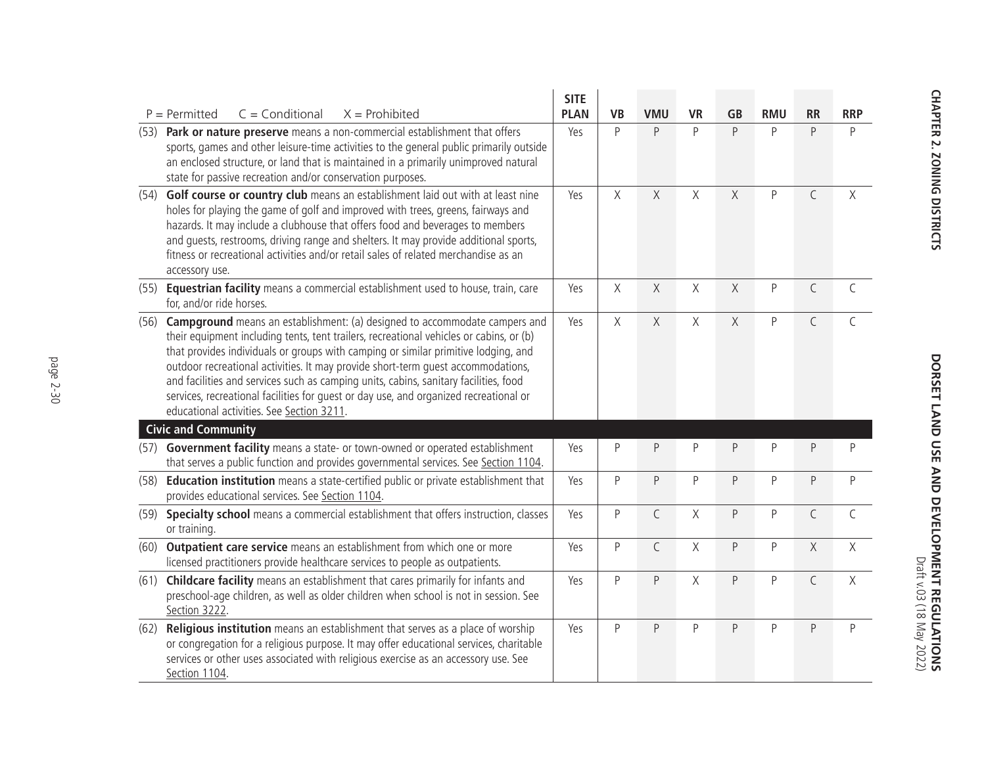|      |                                                                                                                                                                                                                                                                                                                                                                                                                                                                                                                                                                                      | <b>SITE</b> |              |             |              |             |            |             |              |
|------|--------------------------------------------------------------------------------------------------------------------------------------------------------------------------------------------------------------------------------------------------------------------------------------------------------------------------------------------------------------------------------------------------------------------------------------------------------------------------------------------------------------------------------------------------------------------------------------|-------------|--------------|-------------|--------------|-------------|------------|-------------|--------------|
|      | $P = Permitted$<br>$C =$ Conditional<br>$X =$ Prohibited                                                                                                                                                                                                                                                                                                                                                                                                                                                                                                                             | <b>PLAN</b> | <b>VB</b>    | <b>VMU</b>  | <b>VR</b>    | <b>GB</b>   | <b>RMU</b> | <b>RR</b>   | <b>RRP</b>   |
| (53) | Park or nature preserve means a non-commercial establishment that offers<br>sports, games and other leisure-time activities to the general public primarily outside<br>an enclosed structure, or land that is maintained in a primarily unimproved natural<br>state for passive recreation and/or conservation purposes.                                                                                                                                                                                                                                                             | Yes         | P            | P           | P            | P           | P          | P           | P            |
| (54) | Golf course or country club means an establishment laid out with at least nine<br>holes for playing the game of golf and improved with trees, greens, fairways and<br>hazards. It may include a clubhouse that offers food and beverages to members<br>and guests, restrooms, driving range and shelters. It may provide additional sports,<br>fitness or recreational activities and/or retail sales of related merchandise as an<br>accessory use.                                                                                                                                 | Yes         | X            | X           | X            | $\mathsf X$ | P          | $\mathsf C$ | $\chi$       |
| (55) | Equestrian facility means a commercial establishment used to house, train, care<br>for, and/or ride horses.                                                                                                                                                                                                                                                                                                                                                                                                                                                                          | Yes         | X            | $\chi$      | X            | $\chi$      | P          | $\mathsf C$ | $\mathsf{C}$ |
| (56) | <b>Campground</b> means an establishment: (a) designed to accommodate campers and<br>their equipment including tents, tent trailers, recreational vehicles or cabins, or (b)<br>that provides individuals or groups with camping or similar primitive lodging, and<br>outdoor recreational activities. It may provide short-term quest accommodations,<br>and facilities and services such as camping units, cabins, sanitary facilities, food<br>services, recreational facilities for quest or day use, and organized recreational or<br>educational activities. See Section 3211. | Yes         | X            | X           | X            | X           | P          | C           | $\subset$    |
|      | <b>Civic and Community</b>                                                                                                                                                                                                                                                                                                                                                                                                                                                                                                                                                           |             |              |             |              |             |            |             |              |
| (57) | Government facility means a state- or town-owned or operated establishment<br>that serves a public function and provides governmental services. See Section 1104.                                                                                                                                                                                                                                                                                                                                                                                                                    | Yes         | $\sf P$      | $\mathsf P$ | P            | P           | P          | P           | P            |
| (58) | Education institution means a state-certified public or private establishment that<br>provides educational services. See Section 1104.                                                                                                                                                                                                                                                                                                                                                                                                                                               | Yes         | $\mathsf{P}$ | $\sf P$     | $\mathsf{P}$ | P           | P          | $\sf P$     | P            |
|      | (59) Specialty school means a commercial establishment that offers instruction, classes<br>or training.                                                                                                                                                                                                                                                                                                                                                                                                                                                                              | Yes         | $\mathsf{P}$ | $\mathsf C$ | Χ            | P           | P          | $\mathsf C$ | $\mathsf C$  |
|      | (60) Outpatient care service means an establishment from which one or more<br>licensed practitioners provide healthcare services to people as outpatients.                                                                                                                                                                                                                                                                                                                                                                                                                           | Yes         | $\mathsf{P}$ | $\mathsf C$ | X            | P           | P          | $\chi$      | $\chi$       |
|      | (61) Childcare facility means an establishment that cares primarily for infants and<br>preschool-age children, as well as older children when school is not in session. See<br>Section 3222.                                                                                                                                                                                                                                                                                                                                                                                         | Yes         | $\mathsf{P}$ | $\mathsf P$ | X            | P           | P          | $\mathsf C$ | $\chi$       |
| (62) | Religious institution means an establishment that serves as a place of worship<br>or congregation for a religious purpose. It may offer educational services, charitable<br>services or other uses associated with religious exercise as an accessory use. See<br>Section 1104.                                                                                                                                                                                                                                                                                                      | Yes         | $\mathsf{P}$ | $\sf P$     | $\mathsf{P}$ | P           | P          | P           | P            |

**DORSET LAND USE AND DEVELOPMENT REGULATIONS**<br>DORSET LAND USE AND DEVELOPMENT REGULATIONS **DORSET LAND USE AND DEVELOPMENT REGULATIONS** Draft v.03 (18 May 2022)